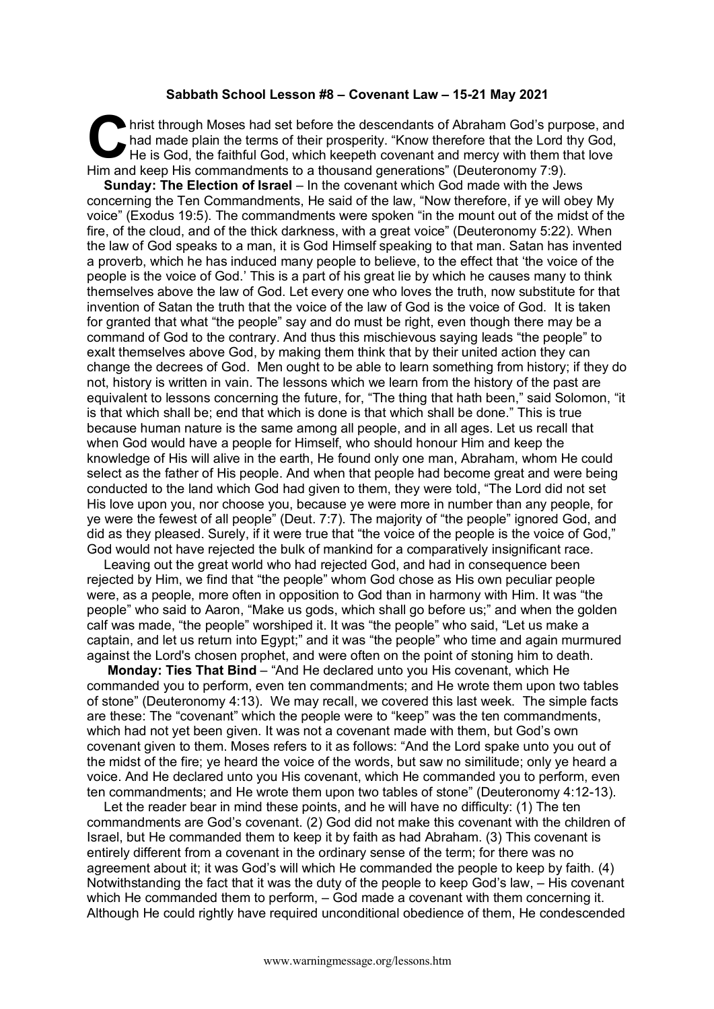## **Sabbath School Lesson #8 – Covenant Law – 15-21 May 2021**

hrist through Moses had set before the descendants of Abraham God's purpose, and had made plain the terms of their prosperity. "Know therefore that the Lord thy God, He is God, the faithful God, which keepeth covenant and mercy with them that love Him and keep His commandments to a thousand generations" (Deuteronomy 7:9). C hai

**Sunday: The Election of Israel** – In the covenant which God made with the Jews concerning the Ten Commandments, He said of the law, "Now therefore, if ye will obey My voice" (Exodus 19:5). The commandments were spoken "in the mount out of the midst of the fire, of the cloud, and of the thick darkness, with a great voice" (Deuteronomy 5:22). When the law of God speaks to a man, it is God Himself speaking to that man. Satan has invented a proverb, which he has induced many people to believe, to the effect that 'the voice of the people is the voice of God.' This is a part of his great lie by which he causes many to think themselves above the law of God. Let every one who loves the truth, now substitute for that invention of Satan the truth that the voice of the law of God is the voice of God. It is taken for granted that what "the people" say and do must be right, even though there may be a command of God to the contrary. And thus this mischievous saying leads "the people" to exalt themselves above God, by making them think that by their united action they can change the decrees of God. Men ought to be able to learn something from history; if they do not, history is written in vain. The lessons which we learn from the history of the past are equivalent to lessons concerning the future, for, "The thing that hath been," said Solomon, "it is that which shall be; end that which is done is that which shall be done." This is true because human nature is the same among all people, and in all ages. Let us recall that when God would have a people for Himself, who should honour Him and keep the knowledge of His will alive in the earth, He found only one man, Abraham, whom He could select as the father of His people. And when that people had become great and were being conducted to the land which God had given to them, they were told, "The Lord did not set His love upon you, nor choose you, because ye were more in number than any people, for ye were the fewest of all people" (Deut. 7:7). The majority of "the people" ignored God, and did as they pleased. Surely, if it were true that "the voice of the people is the voice of God," God would not have rejected the bulk of mankind for a comparatively insignificant race.

Leaving out the great world who had rejected God, and had in consequence been rejected by Him, we find that "the people" whom God chose as His own peculiar people were, as a people, more often in opposition to God than in harmony with Him. It was "the people" who said to Aaron, "Make us gods, which shall go before us;" and when the golden calf was made, "the people" worshiped it. It was "the people" who said, "Let us make a captain, and let us return into Egypt;" and it was "the people" who time and again murmured against the Lord's chosen prophet, and were often on the point of stoning him to death.

**Monday: Ties That Bind** – "And He declared unto you His covenant, which He commanded you to perform, even ten commandments; and He wrote them upon two tables of stone" (Deuteronomy 4:13). We may recall, we covered this last week. The simple facts are these: The "covenant" which the people were to "keep" was the ten commandments, which had not yet been given. It was not a covenant made with them, but God's own covenant given to them. Moses refers to it as follows: "And the Lord spake unto you out of the midst of the fire; ye heard the voice of the words, but saw no similitude; only ye heard a voice. And He declared unto you His covenant, which He commanded you to perform, even ten commandments; and He wrote them upon two tables of stone" (Deuteronomy 4:12-13).

Let the reader bear in mind these points, and he will have no difficulty: (1) The ten commandments are God's covenant. (2) God did not make this covenant with the children of Israel, but He commanded them to keep it by faith as had Abraham. (3) This covenant is entirely different from a covenant in the ordinary sense of the term; for there was no agreement about it; it was God's will which He commanded the people to keep by faith. (4) Notwithstanding the fact that it was the duty of the people to keep God's law, – His covenant which He commanded them to perform,  $-$  God made a covenant with them concerning it. Although He could rightly have required unconditional obedience of them, He condescended